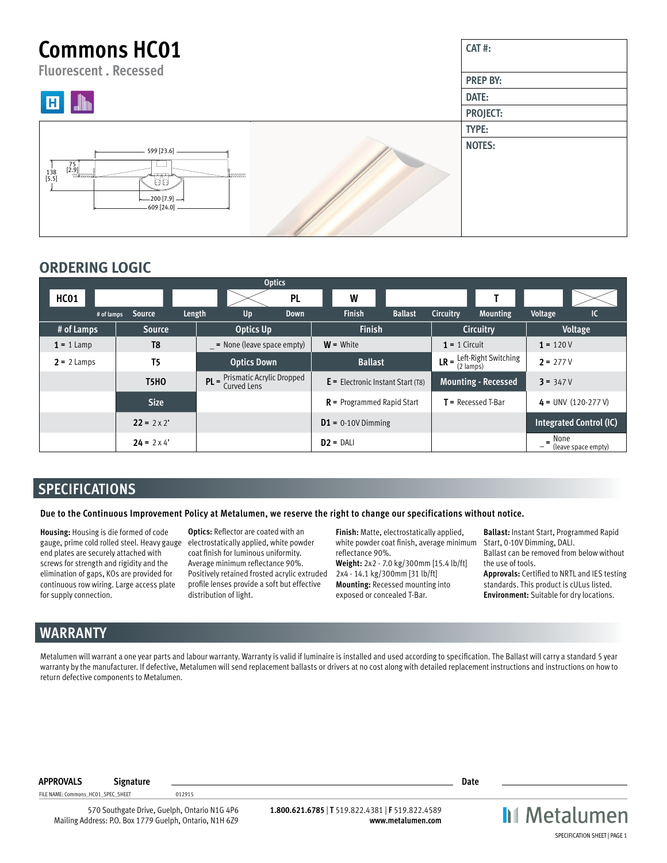## **Commons HC01 CAT #: Fluorescent . Recessed PREP BY: DATE:** П **PROJECT: TYPE: NOTES:** 599 [23.6] 75  $\begin{bmatrix} 1 & 3 & 2 & 9 \\ 1 & 3 & 5 & 2 \end{bmatrix}$ Ыq 200 [7.9] 609 [24.0]

# **ORDERING LOGIC**

|               |                    |           |                                                    | <b>Optics</b> |                                     |                |                  |                                                                   |                       |                         |  |
|---------------|--------------------|-----------|----------------------------------------------------|---------------|-------------------------------------|----------------|------------------|-------------------------------------------------------------------|-----------------------|-------------------------|--|
| HC01          |                    |           |                                                    | <b>PL</b>     | W                                   |                |                  |                                                                   |                       |                         |  |
| # of lamps    | Source             | Length    | Up                                                 | Down          | <b>Finish</b>                       | <b>Ballast</b> | <b>Circuitry</b> | <b>Mounting</b>                                                   | Voltage               | IC                      |  |
| # of Lamps    |                    | Optics Up |                                                    | <b>Finish</b> |                                     |                | Circuitry        | Voltage                                                           |                       |                         |  |
| $1 = 1$ Lamp  | T <sub>8</sub>     |           | $=$ None (leave space empty)                       |               | $W =$ White                         |                | $1 = 1$ Circuit  |                                                                   | $1 = 120V$            |                         |  |
| $2 = 2$ Lamps | T <sub>5</sub>     |           | <b>Optics Down</b>                                 |               | <b>Ballast</b>                      |                |                  | <b>LR</b> = $\frac{\text{Left-Right Switching}}{2 \text{ lamps}}$ | $2 = 277V$            |                         |  |
|               | <b>T5HO</b>        |           | $PL = \frac{Prismatic}{Pr},$<br><b>Curved Lens</b> |               | $E =$ Electronic Instant Start (T8) |                |                  | <b>Mounting - Recessed</b>                                        | $3 = 347V$            |                         |  |
|               | <b>Size</b>        |           |                                                    |               | $R$ = Programmed Rapid Start        |                |                  | $T$ = Recessed T-Bar                                              | $4 = UNV (120-277 V)$ |                         |  |
|               | $22 = 2 \times 2'$ |           |                                                    |               | $D1 = 0.10V$ Dimming                |                |                  |                                                                   |                       | Integrated Control (IC) |  |
|               |                    |           |                                                    | $D2 = DALI$   |                                     |                |                  | None                                                              | (leave space empty)   |                         |  |

# **SPECIFICATIONS**

## **Due to the Continuous Improvement Policy at Metalumen, we reserve the right to change our specifications without notice.**

**Housing:** Housing is die formed of code gauge, prime cold rolled steel. Heavy gauge electrostatically applied, white powder end plates are securely attached with screws for strength and rigidity and the elimination of gaps, KOs are provided for continuous row wiring. Large access plate for supply connection.

**Optics:** Reflector are coated with an coat finish for luminous uniformity. Average minimum reflectance 90%. Positively retained frosted acrylic extruded profile lenses provide a soft but effective distribution of light.

**Finish:** Matte, electrostatically applied, white powder coat finish, average minimum reflectance 90%.

**Weight:** 2x2 - 7.0 kg/300mm [15.4 lb/ft] 2x4 - 14.1 kg/300mm [31 lb/ft] **Mounting:** Recessed mounting into exposed or concealed T-Bar.

**Ballast:** Instant Start, Programmed Rapid Start, 0-10V Dimming, DALI. Ballast can be removed from below without the use of tools.

**Approvals:** Certified to NRTL and IES testing standards. This product is cULus listed. **Environment:** Suitable for dry locations.

# **WARRANTY**

Metalumen will warrant a one year parts and labour warranty. Warranty is valid if luminaire is installed and used according to specification. The Ballast will carry a standard 5 year warranty by the manufacturer. If defective, Metalumen will send replacement ballasts or drivers at no cost along with detailed replacement instructions and instructions on how to return defective components to Metalumen.

**APPROVALS Signature Date**

FILE NAME: Commons\_HC01\_SPEC\_SHEET 012915

570 Southgate Drive, Guelph, Ontario N1G 4P6 Mailing Address: P.O. Box 1779 Guelph, Ontario, N1H 6Z9

**1.800.621.6785** | **T** 519.822.4381 | **F** 519.822.4589 **www.metalumen.com** **II** Metalumen SPECIFICATION SHEET | PAGE 1